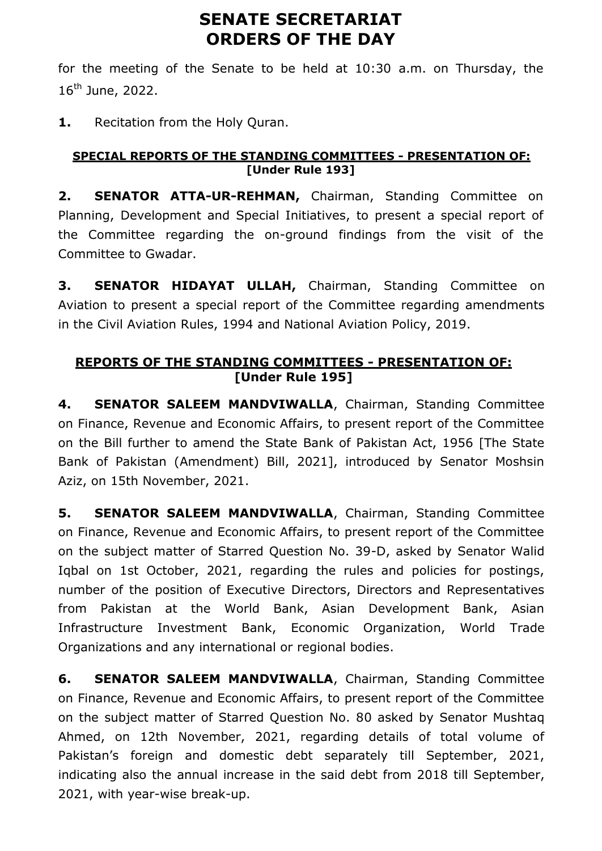# **SENATE SECRETARIAT ORDERS OF THE DAY**

for the meeting of the Senate to be held at 10:30 a.m. on Thursday, the 16th June, 2022.

**1.** Recitation from the Holy Quran.

### **SPECIAL REPORTS OF THE STANDING COMMITTEES - PRESENTATION OF: [Under Rule 193]**

**2. SENATOR ATTA-UR-REHMAN,** Chairman, Standing Committee on Planning, Development and Special Initiatives, to present a special report of the Committee regarding the on-ground findings from the visit of the Committee to Gwadar.

**3. SENATOR HIDAYAT ULLAH,** Chairman, Standing Committee on Aviation to present a special report of the Committee regarding amendments in the Civil Aviation Rules, 1994 and National Aviation Policy, 2019.

## **REPORTS OF THE STANDING COMMITTEES - PRESENTATION OF: [Under Rule 195]**

**4. SENATOR SALEEM MANDVIWALLA**, Chairman, Standing Committee on Finance, Revenue and Economic Affairs, to present report of the Committee on the Bill further to amend the State Bank of Pakistan Act, 1956 [The State Bank of Pakistan (Amendment) Bill, 2021], introduced by Senator Moshsin Aziz, on 15th November, 2021.

**5. SENATOR SALEEM MANDVIWALLA**, Chairman, Standing Committee on Finance, Revenue and Economic Affairs, to present report of the Committee on the subject matter of Starred Question No. 39-D, asked by Senator Walid Iqbal on 1st October, 2021, regarding the rules and policies for postings, number of the position of Executive Directors, Directors and Representatives from Pakistan at the World Bank, Asian Development Bank, Asian Infrastructure Investment Bank, Economic Organization, World Trade Organizations and any international or regional bodies.

**6. SENATOR SALEEM MANDVIWALLA**, Chairman, Standing Committee on Finance, Revenue and Economic Affairs, to present report of the Committee on the subject matter of Starred Question No. 80 asked by Senator Mushtaq Ahmed, on 12th November, 2021, regarding details of total volume of Pakistan's foreign and domestic debt separately till September, 2021, indicating also the annual increase in the said debt from 2018 till September, 2021, with year-wise break-up.